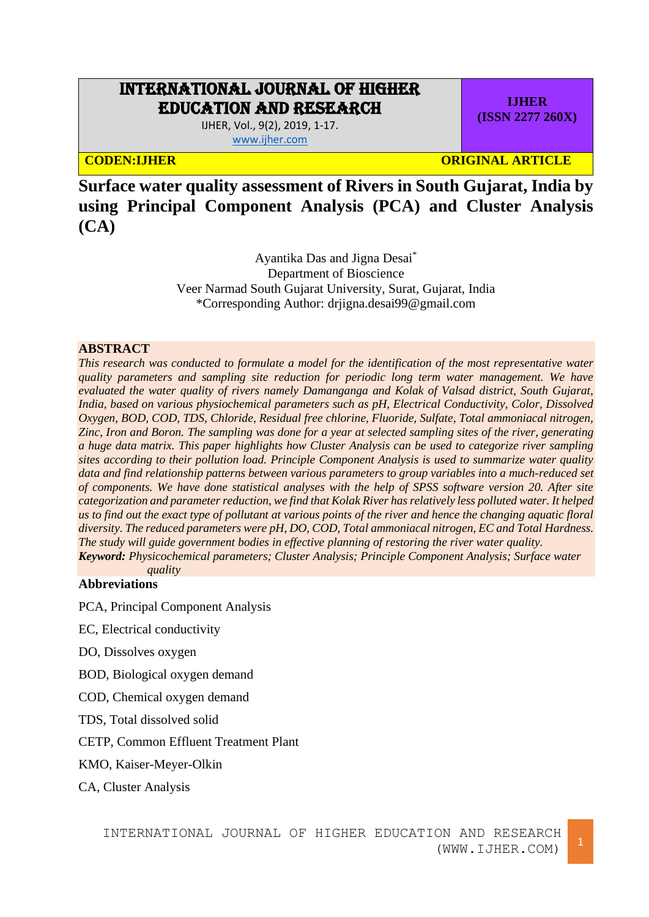# INTERNATIONAL JOURNAL OF HIGHER EDUCATION AND RESEARCH

IJHER, Vol., 9(2), 2019, 1-17. [www.ijher.com](http://www.ijher.com/)

**CODEN:IJHER ORIGINAL ARTICLE** 

**IJHER (ISSN 2277 260X)**

**Surface water quality assessment of Rivers in South Gujarat, India by using Principal Component Analysis (PCA) and Cluster Analysis (CA)**

> Ayantika Das and Jigna Desai\* Department of Bioscience Veer Narmad South Gujarat University, Surat, Gujarat, India \*Corresponding Author: [drjigna.desai99@gmail.com](mailto:drjigna.desai99@gmail.com)

# **ABSTRACT**

*This research was conducted to formulate a model for the identification of the most representative water quality parameters and sampling site reduction for periodic long term water management. We have evaluated the water quality of rivers namely Damanganga and Kolak of Valsad district, South Gujarat, India, based on various physiochemical parameters such as pH, Electrical Conductivity, Color, Dissolved Oxygen, BOD, COD, TDS, Chloride, Residual free chlorine, Fluoride, Sulfate, Total ammoniacal nitrogen, Zinc, Iron and Boron. The sampling was done for a year at selected sampling sites of the river, generating a huge data matrix. This paper highlights how Cluster Analysis can be used to categorize river sampling sites according to their pollution load. Principle Component Analysis is used to summarize water quality data and find relationship patterns between various parameters to group variables into a much-reduced set of components. We have done statistical analyses with the help of SPSS software version 20. After site categorization and parameter reduction, we find that Kolak River has relatively less polluted water. It helped us to find out the exact type of pollutant at various points of the river and hence the changing aquatic floral diversity. The reduced parameters were pH, DO, COD, Total ammoniacal nitrogen, EC and Total Hardness. The study will guide government bodies in effective planning of restoring the river water quality. Keyword: Physicochemical parameters; Cluster Analysis; Principle Component Analysis; Surface water* 

*quality*

# **Abbreviations**

PCA, Principal Component Analysis

EC, Electrical conductivity

DO, Dissolves oxygen

BOD, Biological oxygen demand

COD, Chemical oxygen demand

TDS, Total dissolved solid

CETP, Common Effluent Treatment Plant

KMO, Kaiser-Meyer-Olkin

CA, Cluster Analysis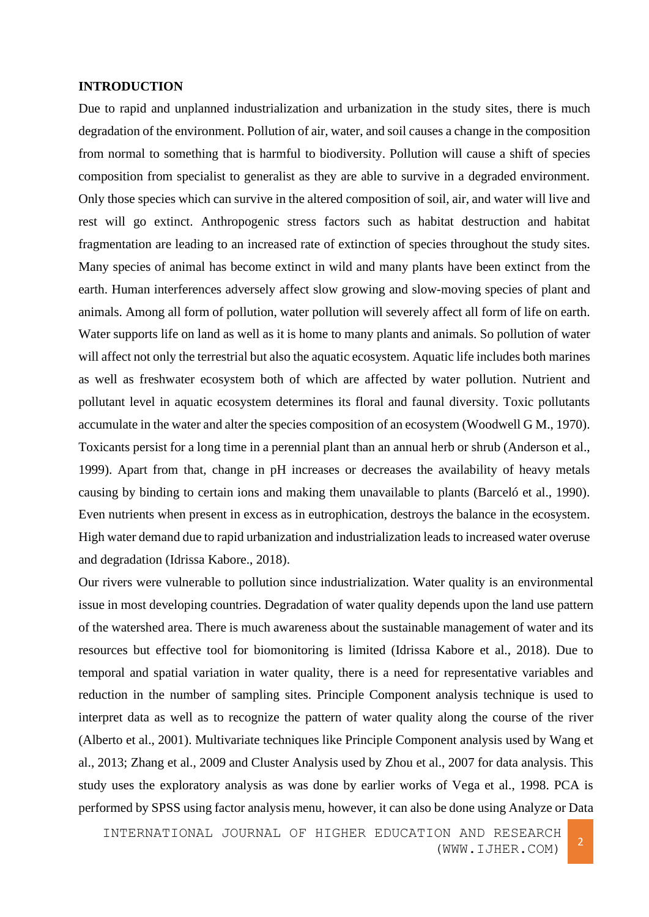## **INTRODUCTION**

Due to rapid and unplanned industrialization and urbanization in the study sites, there is much degradation of the environment. Pollution of air, water, and soil causes a change in the composition from normal to something that is harmful to biodiversity. Pollution will cause a shift of species composition from specialist to generalist as they are able to survive in a degraded environment. Only those species which can survive in the altered composition of soil, air, and water will live and rest will go extinct. Anthropogenic stress factors such as habitat destruction and habitat fragmentation are leading to an increased rate of extinction of species throughout the study sites. Many species of animal has become extinct in wild and many plants have been extinct from the earth. Human interferences adversely affect slow growing and slow-moving species of plant and animals. Among all form of pollution, water pollution will severely affect all form of life on earth. Water supports life on land as well as it is home to many plants and animals. So pollution of water will affect not only the terrestrial but also the aquatic ecosystem. Aquatic life includes both marines as well as freshwater ecosystem both of which are affected by water pollution. Nutrient and pollutant level in aquatic ecosystem determines its floral and faunal diversity. Toxic pollutants accumulate in the water and alter the species composition of an ecosystem (Woodwell G M., 1970). Toxicants persist for a long time in a perennial plant than an annual herb or shrub (Anderson et al., 1999). Apart from that, change in pH increases or decreases the availability of heavy metals causing by binding to certain ions and making them unavailable to plants (Barceló et al., 1990). Even nutrients when present in excess as in eutrophication, destroys the balance in the ecosystem. High water demand due to rapid urbanization and industrialization leads to increased water overuse and degradation (Idrissa Kabore., 2018).

Our rivers were vulnerable to pollution since industrialization. Water quality is an environmental issue in most developing countries. Degradation of water quality depends upon the land use pattern of the watershed area. There is much awareness about the sustainable management of water and its resources but effective tool for biomonitoring is limited (Idrissa Kabore et al., 2018). Due to temporal and spatial variation in water quality, there is a need for representative variables and reduction in the number of sampling sites. Principle Component analysis technique is used to interpret data as well as to recognize the pattern of water quality along the course of the river (Alberto et al., 2001). Multivariate techniques like Principle Component analysis used by Wang et al., 2013; Zhang et al., 2009 and Cluster Analysis used by Zhou et al., 2007 for data analysis. This study uses the exploratory analysis as was done by earlier works of Vega et al., 1998. PCA is performed by SPSS using factor analysis menu, however, it can also be done using Analyze or Data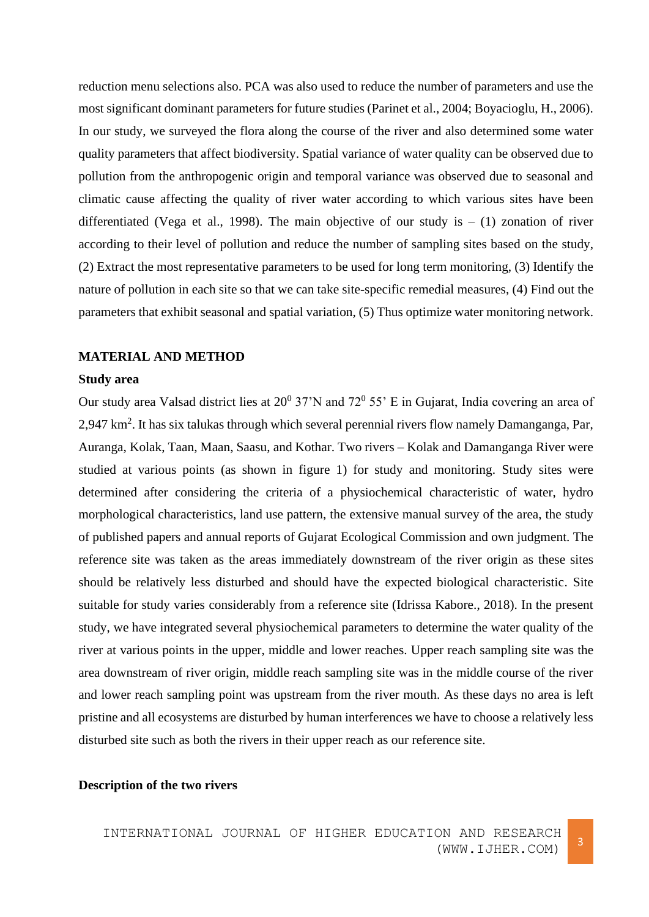reduction menu selections also. PCA was also used to reduce the number of parameters and use the most significant dominant parameters for future studies (Parinet et al., 2004; Boyacioglu, H., 2006). In our study, we surveyed the flora along the course of the river and also determined some water quality parameters that affect biodiversity. Spatial variance of water quality can be observed due to pollution from the anthropogenic origin and temporal variance was observed due to seasonal and climatic cause affecting the quality of river water according to which various sites have been differentiated (Vega et al., 1998). The main objective of our study is  $- (1)$  zonation of river according to their level of pollution and reduce the number of sampling sites based on the study, (2) Extract the most representative parameters to be used for long term monitoring, (3) Identify the nature of pollution in each site so that we can take site-specific remedial measures, (4) Find out the parameters that exhibit seasonal and spatial variation, (5) Thus optimize water monitoring network.

# **MATERIAL AND METHOD**

# **Study area**

Our study area Valsad district lies at  $20^0$  37'N and 72 $^0$  55' E in Gujarat, India covering an area of 2,947 km<sup>2</sup>. It has six talukas through which several perennial rivers flow namely Damanganga, Par, Auranga, Kolak, Taan, Maan, Saasu, and Kothar. Two rivers – Kolak and Damanganga River were studied at various points (as shown in figure 1) for study and monitoring. Study sites were determined after considering the criteria of a physiochemical characteristic of water, hydro morphological characteristics, land use pattern, the extensive manual survey of the area, the study of published papers and annual reports of Gujarat Ecological Commission and own judgment. The reference site was taken as the areas immediately downstream of the river origin as these sites should be relatively less disturbed and should have the expected biological characteristic. Site suitable for study varies considerably from a reference site (Idrissa Kabore., 2018). In the present study, we have integrated several physiochemical parameters to determine the water quality of the river at various points in the upper, middle and lower reaches. Upper reach sampling site was the area downstream of river origin, middle reach sampling site was in the middle course of the river and lower reach sampling point was upstream from the river mouth. As these days no area is left pristine and all ecosystems are disturbed by human interferences we have to choose a relatively less disturbed site such as both the rivers in their upper reach as our reference site.

# **Description of the two rivers**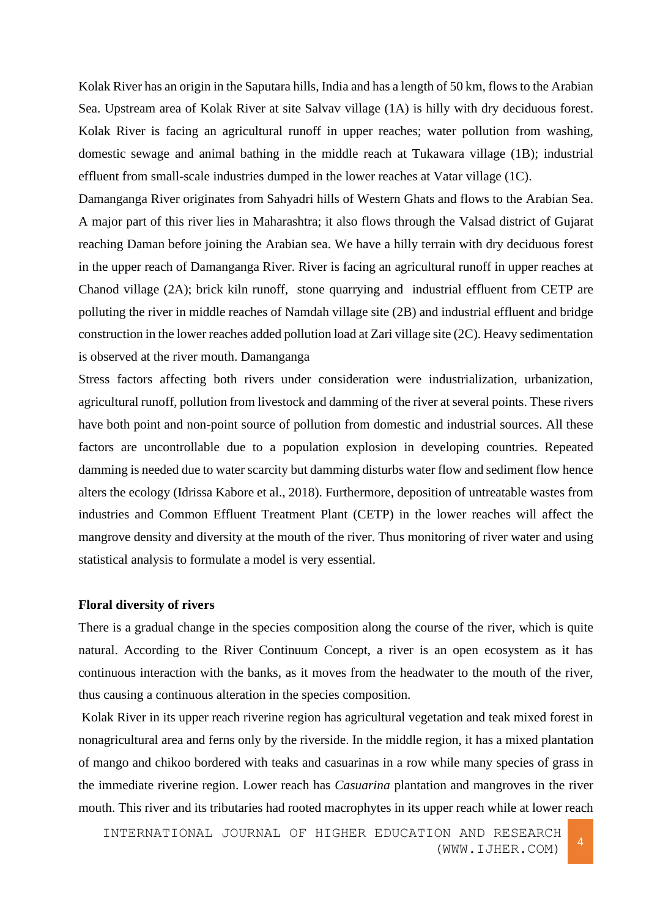Kolak River has an origin in the Saputara hills, India and has a length of 50 km, flows to the Arabian Sea. Upstream area of Kolak River at site Salvav village (1A) is hilly with dry deciduous forest. Kolak River is facing an agricultural runoff in upper reaches; water pollution from washing, domestic sewage and animal bathing in the middle reach at Tukawara village (1B); industrial effluent from small-scale industries dumped in the lower reaches at Vatar village (1C).

Damanganga River originates from Sahyadri hills of Western Ghats and flows to the Arabian Sea. A major part of this river lies in Maharashtra; it also flows through the Valsad district of Gujarat reaching Daman before joining the Arabian sea. We have a hilly terrain with dry deciduous forest in the upper reach of Damanganga River. River is facing an agricultural runoff in upper reaches at Chanod village (2A); brick kiln runoff, stone quarrying and industrial effluent from CETP are polluting the river in middle reaches of Namdah village site (2B) and industrial effluent and bridge construction in the lower reaches added pollution load at Zari village site (2C). Heavy sedimentation is observed at the river mouth. Damanganga

Stress factors affecting both rivers under consideration were industrialization, urbanization, agricultural runoff, pollution from livestock and damming of the river at several points. These rivers have both point and non-point source of pollution from domestic and industrial sources. All these factors are uncontrollable due to a population explosion in developing countries. Repeated damming is needed due to water scarcity but damming disturbs water flow and sediment flow hence alters the ecology (Idrissa Kabore et al., 2018). Furthermore, deposition of untreatable wastes from industries and Common Effluent Treatment Plant (CETP) in the lower reaches will affect the mangrove density and diversity at the mouth of the river. Thus monitoring of river water and using statistical analysis to formulate a model is very essential.

#### **Floral diversity of rivers**

There is a gradual change in the species composition along the course of the river, which is quite natural. According to the River Continuum Concept, a river is an open ecosystem as it has continuous interaction with the banks, as it moves from the headwater to the mouth of the river, thus causing a continuous alteration in the species composition.

Kolak River in its upper reach riverine region has agricultural vegetation and teak mixed forest in nonagricultural area and ferns only by the riverside. In the middle region, it has a mixed plantation of mango and chikoo bordered with teaks and casuarinas in a row while many species of grass in the immediate riverine region. Lower reach has *Casuarina* plantation and mangroves in the river mouth. This river and its tributaries had rooted macrophytes in its upper reach while at lower reach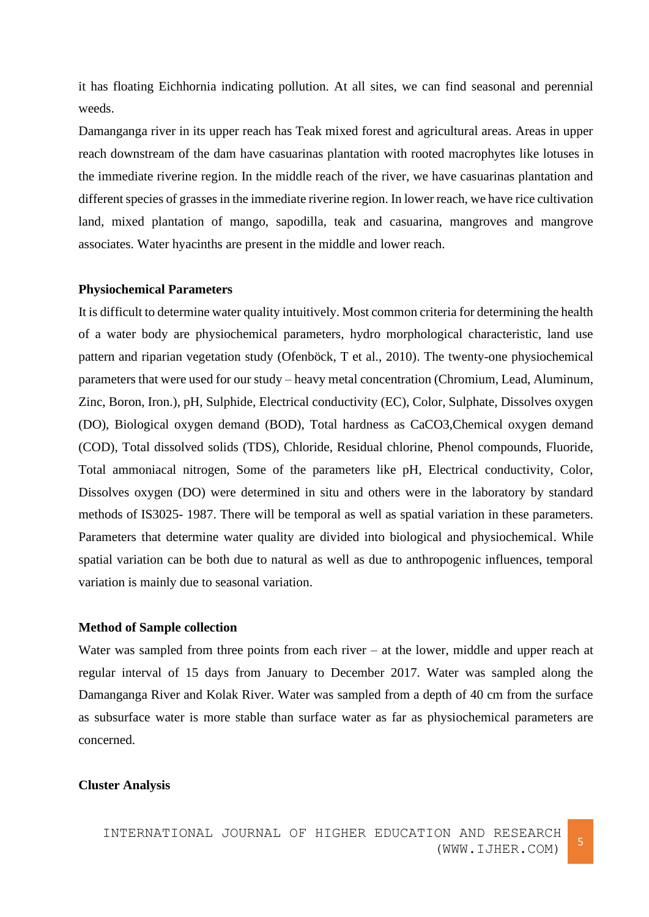it has floating Eichhornia indicating pollution. At all sites, we can find seasonal and perennial weeds.

Damanganga river in its upper reach has Teak mixed forest and agricultural areas. Areas in upper reach downstream of the dam have casuarinas plantation with rooted macrophytes like lotuses in the immediate riverine region. In the middle reach of the river, we have casuarinas plantation and different species of grasses in the immediate riverine region. In lower reach, we have rice cultivation land, mixed plantation of mango, sapodilla, teak and casuarina, mangroves and mangrove associates. Water hyacinths are present in the middle and lower reach.

#### **Physiochemical Parameters**

It is difficult to determine water quality intuitively. Most common criteria for determining the health of a water body are physiochemical parameters, hydro morphological characteristic, land use pattern and riparian vegetation study (Ofenböck, T et al., 2010). The twenty-one physiochemical parameters that were used for our study – heavy metal concentration (Chromium, Lead, Aluminum, Zinc, Boron, Iron.), pH, Sulphide, Electrical conductivity (EC), Color, Sulphate, Dissolves oxygen (DO), Biological oxygen demand (BOD), Total hardness as CaCO3,Chemical oxygen demand (COD), Total dissolved solids (TDS), Chloride, Residual chlorine, Phenol compounds, Fluoride, Total ammoniacal nitrogen, Some of the parameters like pH, Electrical conductivity, Color, Dissolves oxygen (DO) were determined in situ and others were in the laboratory by standard methods of IS3025- 1987. There will be temporal as well as spatial variation in these parameters. Parameters that determine water quality are divided into biological and physiochemical. While spatial variation can be both due to natural as well as due to anthropogenic influences, temporal variation is mainly due to seasonal variation.

## **Method of Sample collection**

Water was sampled from three points from each river – at the lower, middle and upper reach at regular interval of 15 days from January to December 2017. Water was sampled along the Damanganga River and Kolak River. Water was sampled from a depth of 40 cm from the surface as subsurface water is more stable than surface water as far as physiochemical parameters are concerned.

#### **Cluster Analysis**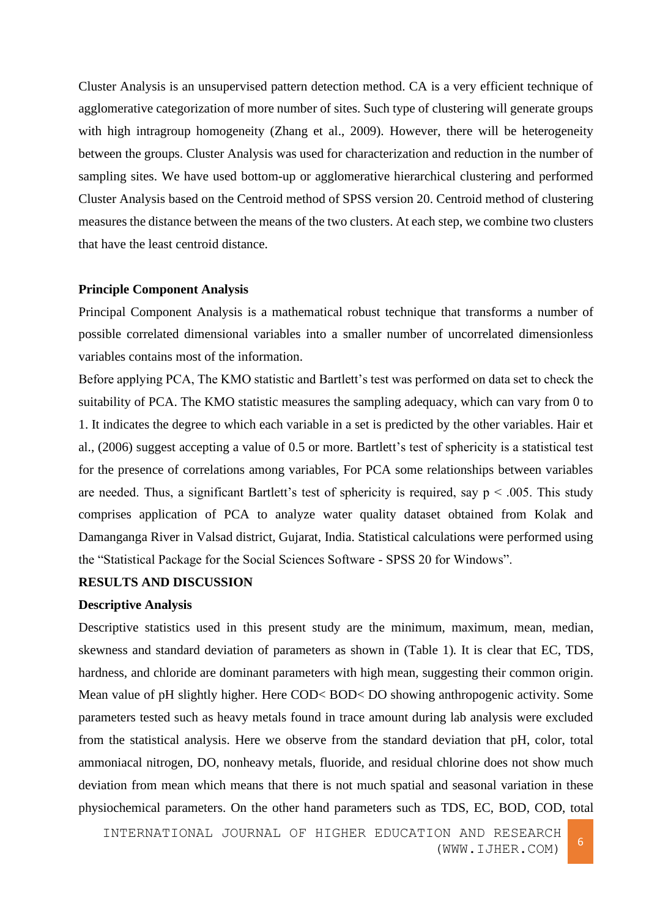Cluster Analysis is an unsupervised pattern detection method. CA is a very efficient technique of agglomerative categorization of more number of sites. Such type of clustering will generate groups with high intragroup homogeneity (Zhang et al., 2009). However, there will be heterogeneity between the groups. Cluster Analysis was used for characterization and reduction in the number of sampling sites. We have used bottom-up or agglomerative hierarchical clustering and performed Cluster Analysis based on the Centroid method of SPSS version 20. Centroid method of clustering measures the distance between the means of the two clusters. At each step, we combine two clusters that have the least centroid distance.

## **Principle Component Analysis**

Principal Component Analysis is a mathematical robust technique that transforms a number of possible correlated dimensional variables into a smaller number of uncorrelated dimensionless variables contains most of the information.

Before applying PCA, The KMO statistic and Bartlett's test was performed on data set to check the suitability of PCA. The KMO statistic measures the sampling adequacy, which can vary from 0 to 1. It indicates the degree to which each variable in a set is predicted by the other variables. Hair et al., (2006) suggest accepting a value of 0.5 or more. Bartlett's test of sphericity is a statistical test for the presence of correlations among variables, For PCA some relationships between variables are needed. Thus, a significant Bartlett's test of sphericity is required, say  $p < .005$ . This study comprises application of PCA to analyze water quality dataset obtained from Kolak and Damanganga River in Valsad district, Gujarat, India. Statistical calculations were performed using the "Statistical Package for the Social Sciences Software - SPSS 20 for Windows".

# **RESULTS AND DISCUSSION**

#### **Descriptive Analysis**

Descriptive statistics used in this present study are the minimum, maximum, mean, median, skewness and standard deviation of parameters as shown in (Table 1)*.* It is clear that EC, TDS, hardness, and chloride are dominant parameters with high mean, suggesting their common origin. Mean value of pH slightly higher. Here COD< BOD< DO showing anthropogenic activity. Some parameters tested such as heavy metals found in trace amount during lab analysis were excluded from the statistical analysis. Here we observe from the standard deviation that pH, color, total ammoniacal nitrogen, DO, nonheavy metals, fluoride, and residual chlorine does not show much deviation from mean which means that there is not much spatial and seasonal variation in these physiochemical parameters. On the other hand parameters such as TDS, EC, BOD, COD, total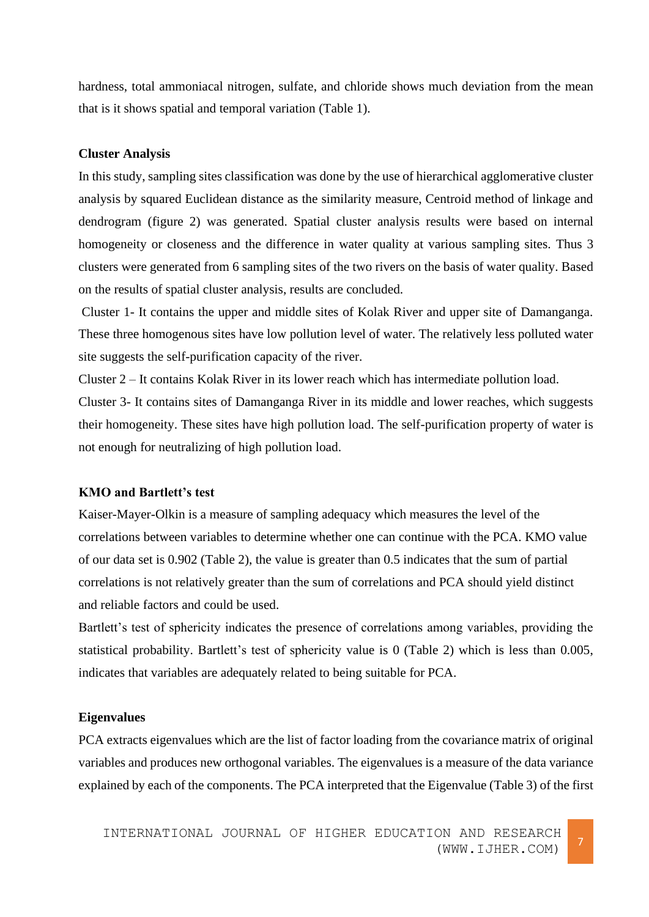hardness, total ammoniacal nitrogen, sulfate, and chloride shows much deviation from the mean that is it shows spatial and temporal variation (Table 1).

# **Cluster Analysis**

In this study, sampling sites classification was done by the use of hierarchical agglomerative cluster analysis by squared Euclidean distance as the similarity measure, Centroid method of linkage and dendrogram (figure 2) was generated. Spatial cluster analysis results were based on internal homogeneity or closeness and the difference in water quality at various sampling sites. Thus 3 clusters were generated from 6 sampling sites of the two rivers on the basis of water quality. Based on the results of spatial cluster analysis, results are concluded.

Cluster 1- It contains the upper and middle sites of Kolak River and upper site of Damanganga. These three homogenous sites have low pollution level of water. The relatively less polluted water site suggests the self-purification capacity of the river.

Cluster 2 – It contains Kolak River in its lower reach which has intermediate pollution load. Cluster 3- It contains sites of Damanganga River in its middle and lower reaches, which suggests their homogeneity. These sites have high pollution load. The self-purification property of water is not enough for neutralizing of high pollution load.

# **KMO and Bartlett's test**

Kaiser-Mayer-Olkin is a measure of sampling adequacy which measures the level of the correlations between variables to determine whether one can continue with the PCA. KMO value of our data set is 0.902 (Table 2), the value is greater than 0.5 indicates that the sum of partial correlations is not relatively greater than the sum of correlations and PCA should yield distinct and reliable factors and could be used.

Bartlett's test of sphericity indicates the presence of correlations among variables, providing the statistical probability. Bartlett's test of sphericity value is 0 (Table 2) which is less than 0.005, indicates that variables are adequately related to being suitable for PCA.

## **Eigenvalues**

PCA extracts eigenvalues which are the list of factor loading from the covariance matrix of original variables and produces new orthogonal variables. The eigenvalues is a measure of the data variance explained by each of the components. The PCA interpreted that the Eigenvalue (Table 3) of the first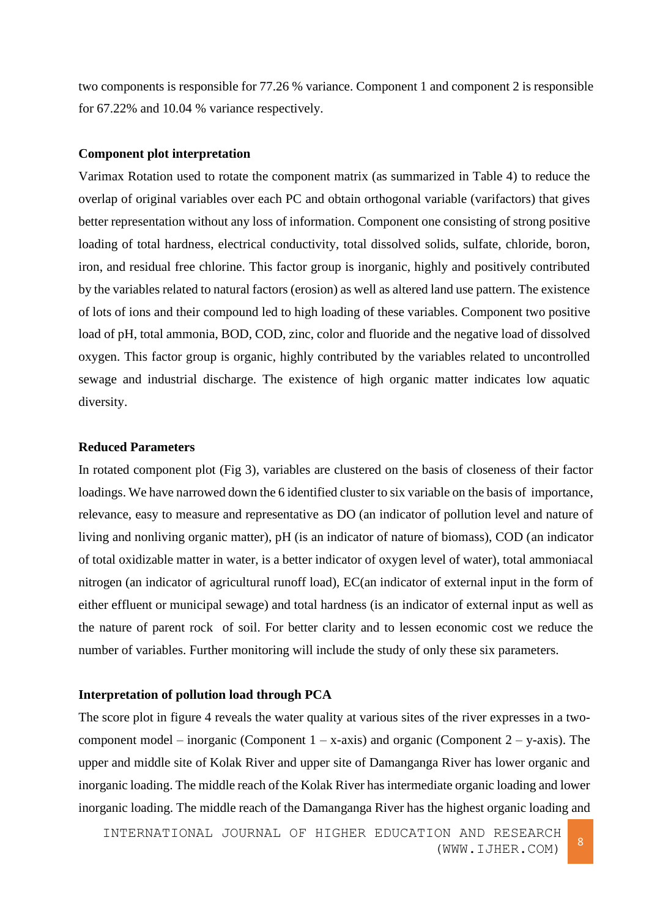two components is responsible for 77.26 % variance. Component 1 and component 2 is responsible for 67.22% and 10.04 % variance respectively.

## **Component plot interpretation**

Varimax Rotation used to rotate the component matrix (as summarized in Table 4) to reduce the overlap of original variables over each PC and obtain orthogonal variable (varifactors) that gives better representation without any loss of information. Component one consisting of strong positive loading of total hardness, electrical conductivity, total dissolved solids, sulfate, chloride, boron, iron, and residual free chlorine. This factor group is inorganic, highly and positively contributed by the variables related to natural factors (erosion) as well as altered land use pattern. The existence of lots of ions and their compound led to high loading of these variables. Component two positive load of pH, total ammonia, BOD, COD, zinc, color and fluoride and the negative load of dissolved oxygen. This factor group is organic, highly contributed by the variables related to uncontrolled sewage and industrial discharge. The existence of high organic matter indicates low aquatic diversity.

# **Reduced Parameters**

In rotated component plot (Fig 3), variables are clustered on the basis of closeness of their factor loadings. We have narrowed down the 6 identified cluster to six variable on the basis of importance, relevance, easy to measure and representative as DO (an indicator of pollution level and nature of living and nonliving organic matter), pH (is an indicator of nature of biomass), COD (an indicator of total oxidizable matter in water, is a better indicator of oxygen level of water), total ammoniacal nitrogen (an indicator of agricultural runoff load), EC(an indicator of external input in the form of either effluent or municipal sewage) and total hardness (is an indicator of external input as well as the nature of parent rock of soil. For better clarity and to lessen economic cost we reduce the number of variables. Further monitoring will include the study of only these six parameters.

#### **Interpretation of pollution load through PCA**

The score plot in figure 4 reveals the water quality at various sites of the river expresses in a twocomponent model – inorganic (Component  $1 - x$ -axis) and organic (Component  $2 - y$ -axis). The upper and middle site of Kolak River and upper site of Damanganga River has lower organic and inorganic loading. The middle reach of the Kolak River has intermediate organic loading and lower inorganic loading. The middle reach of the Damanganga River has the highest organic loading and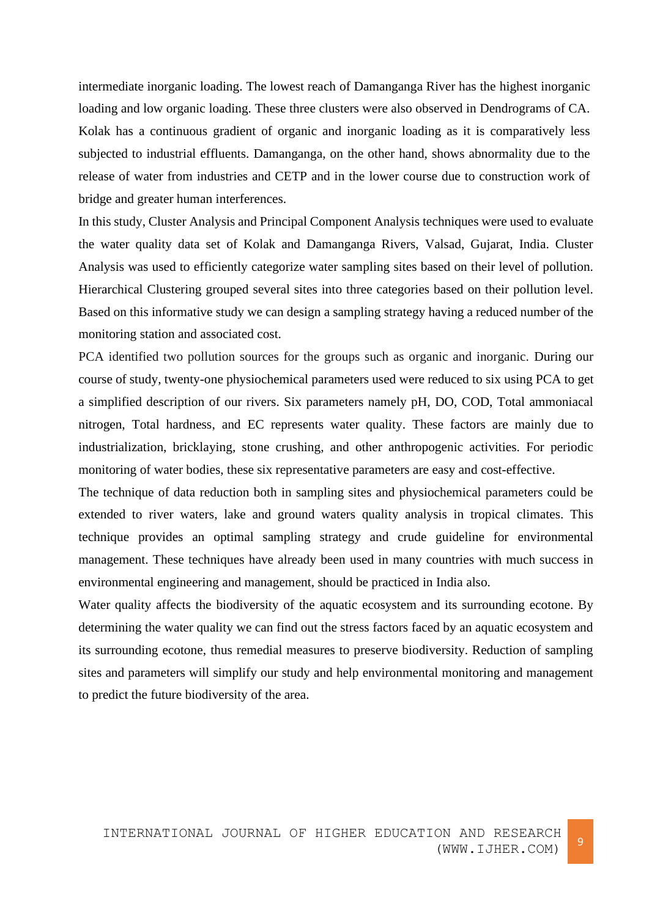intermediate inorganic loading. The lowest reach of Damanganga River has the highest inorganic loading and low organic loading. These three clusters were also observed in Dendrograms of CA. Kolak has a continuous gradient of organic and inorganic loading as it is comparatively less subjected to industrial effluents. Damanganga, on the other hand, shows abnormality due to the release of water from industries and CETP and in the lower course due to construction work of bridge and greater human interferences.

In this study, Cluster Analysis and Principal Component Analysis techniques were used to evaluate the water quality data set of Kolak and Damanganga Rivers, Valsad, Gujarat, India. Cluster Analysis was used to efficiently categorize water sampling sites based on their level of pollution. Hierarchical Clustering grouped several sites into three categories based on their pollution level. Based on this informative study we can design a sampling strategy having a reduced number of the monitoring station and associated cost.

PCA identified two pollution sources for the groups such as organic and inorganic. During our course of study, twenty-one physiochemical parameters used were reduced to six using PCA to get a simplified description of our rivers. Six parameters namely pH, DO, COD, Total ammoniacal nitrogen, Total hardness, and EC represents water quality. These factors are mainly due to industrialization, bricklaying, stone crushing, and other anthropogenic activities. For periodic monitoring of water bodies, these six representative parameters are easy and cost-effective.

The technique of data reduction both in sampling sites and physiochemical parameters could be extended to river waters, lake and ground waters quality analysis in tropical climates. This technique provides an optimal sampling strategy and crude guideline for environmental management. These techniques have already been used in many countries with much success in environmental engineering and management, should be practiced in India also.

Water quality affects the biodiversity of the aquatic ecosystem and its surrounding ecotone. By determining the water quality we can find out the stress factors faced by an aquatic ecosystem and its surrounding ecotone, thus remedial measures to preserve biodiversity. Reduction of sampling sites and parameters will simplify our study and help environmental monitoring and management to predict the future biodiversity of the area.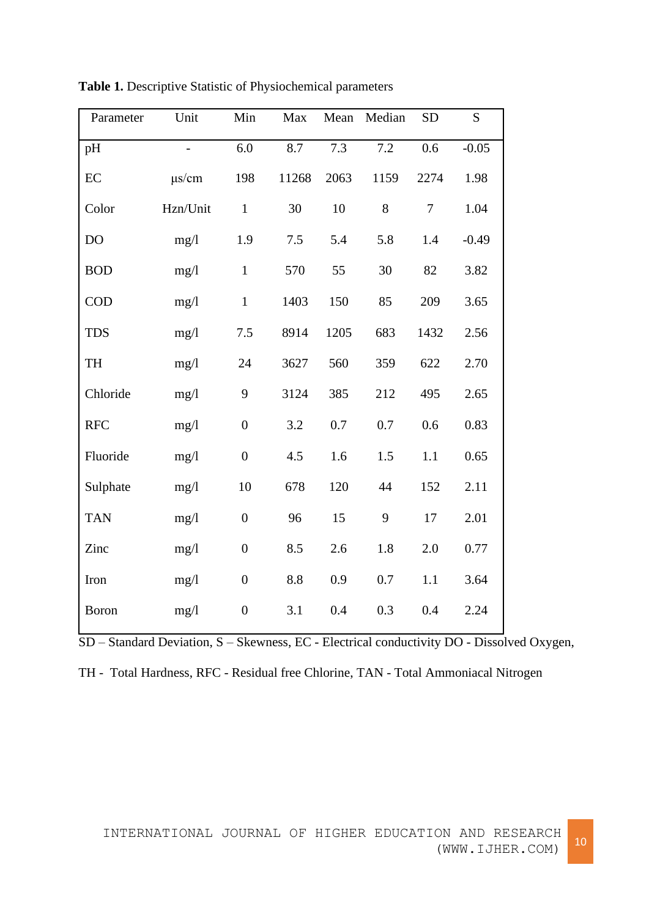| Parameter  | Unit       | Min              | Max   | Mean | Median | <b>SD</b> | S       |
|------------|------------|------------------|-------|------|--------|-----------|---------|
| pH         |            | 6.0              | 8.7   | 7.3  | 7.2    | 0.6       | $-0.05$ |
| $\rm EC$   | $\mu$ s/cm | 198              | 11268 | 2063 | 1159   | 2274      | 1.98    |
| Color      | Hzn/Unit   | $\mathbf{1}$     | 30    | 10   | 8      | $\tau$    | 1.04    |
| DO         | mg/1       | 1.9              | 7.5   | 5.4  | 5.8    | 1.4       | $-0.49$ |
| <b>BOD</b> | mg/1       | $\mathbf{1}$     | 570   | 55   | 30     | 82        | 3.82    |
| <b>COD</b> | mg/1       | $\mathbf{1}$     | 1403  | 150  | 85     | 209       | 3.65    |
| <b>TDS</b> | mg/1       | 7.5              | 8914  | 1205 | 683    | 1432      | 2.56    |
| TH         | mg/1       | 24               | 3627  | 560  | 359    | 622       | 2.70    |
| Chloride   | mg/1       | 9                | 3124  | 385  | 212    | 495       | 2.65    |
| <b>RFC</b> | mg/1       | $\overline{0}$   | 3.2   | 0.7  | 0.7    | 0.6       | 0.83    |
| Fluoride   | mg/1       | $\boldsymbol{0}$ | 4.5   | 1.6  | 1.5    | 1.1       | 0.65    |
| Sulphate   | mg/1       | 10               | 678   | 120  | 44     | 152       | 2.11    |
| <b>TAN</b> | mg/1       | $\boldsymbol{0}$ | 96    | 15   | 9      | 17        | 2.01    |
| Zinc       | mg/1       | $\boldsymbol{0}$ | 8.5   | 2.6  | 1.8    | 2.0       | 0.77    |
| Iron       | mg/1       | $\boldsymbol{0}$ | 8.8   | 0.9  | 0.7    | 1.1       | 3.64    |
| Boron      | mg/1       | $\boldsymbol{0}$ | 3.1   | 0.4  | 0.3    | 0.4       | 2.24    |

**Table 1.** Descriptive Statistic of Physiochemical parameters

SD – Standard Deviation, S – Skewness, EC - Electrical conductivity DO - Dissolved Oxygen,

|  | TH - Total Hardness, RFC - Residual free Chlorine, TAN - Total Ammoniacal Nitrogen |  |  |  |  |  |  |  |
|--|------------------------------------------------------------------------------------|--|--|--|--|--|--|--|
|--|------------------------------------------------------------------------------------|--|--|--|--|--|--|--|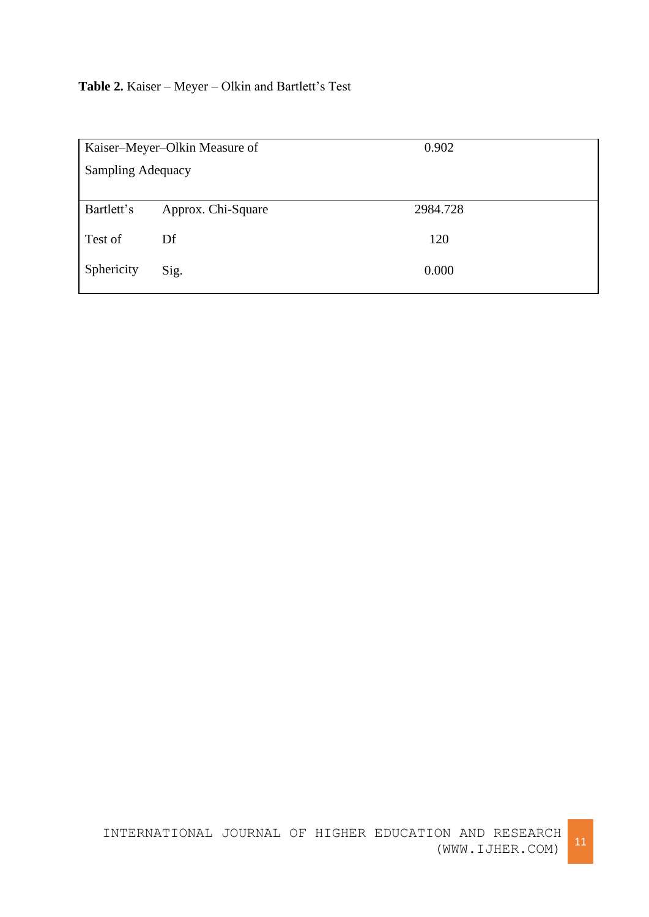# **Table 2.** Kaiser – Meyer – Olkin and Bartlett's Test

| Kaiser-Meyer-Olkin Measure of |                    | 0.902    |
|-------------------------------|--------------------|----------|
| <b>Sampling Adequacy</b>      |                    |          |
|                               |                    |          |
| Bartlett's                    | Approx. Chi-Square | 2984.728 |
| Test of                       | Df                 | 120      |
| Sphericity                    | Sig.               | 0.000    |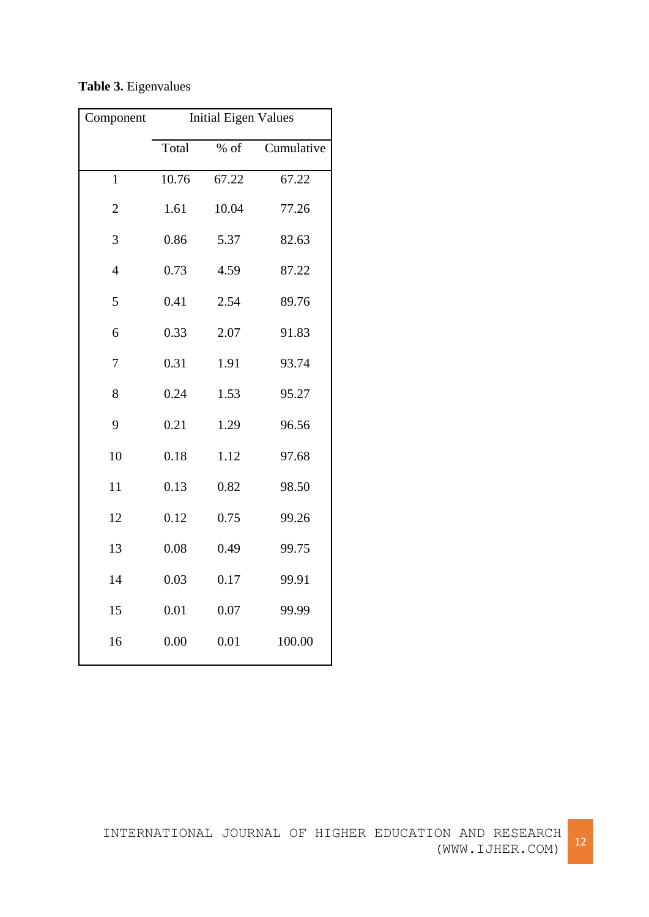| Component      | <b>Initial Eigen Values</b> |        |            |  |
|----------------|-----------------------------|--------|------------|--|
|                | Total                       | $%$ of | Cumulative |  |
| $\mathbf{1}$   | 10.76                       | 67.22  | 67.22      |  |
| $\overline{2}$ | 1.61                        | 10.04  | 77.26      |  |
| 3              | 0.86                        | 5.37   | 82.63      |  |
| $\overline{4}$ | 0.73                        | 4.59   | 87.22      |  |
| 5              | 0.41                        | 2.54   | 89.76      |  |
| 6              | 0.33                        | 2.07   | 91.83      |  |
| $\overline{7}$ | 0.31                        | 1.91   | 93.74      |  |
| 8              | 0.24                        | 1.53   | 95.27      |  |
| 9              | 0.21                        | 1.29   | 96.56      |  |
| 10             | 0.18                        | 1.12   | 97.68      |  |
| 11             | 0.13                        | 0.82   | 98.50      |  |
| 12             | 0.12                        | 0.75   | 99.26      |  |
| 13             | 0.08                        | 0.49   | 99.75      |  |
| 14             | 0.03                        | 0.17   | 99.91      |  |
| 15             | 0.01                        | 0.07   | 99.99      |  |
| 16             | 0.00                        | 0.01   | 100.00     |  |

**Table 3.** Eigenvalues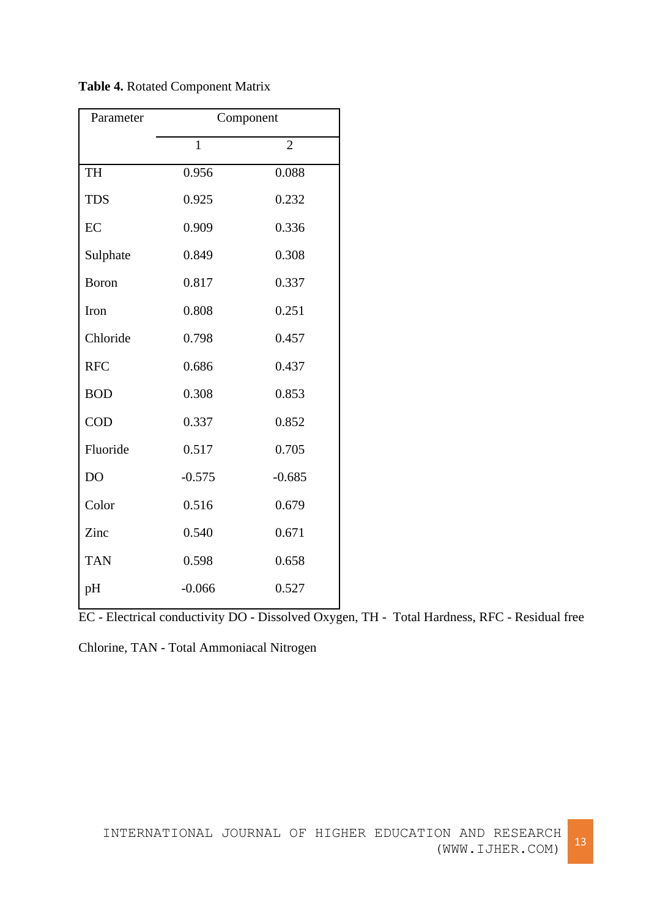| Parameter    | Component    |                |  |
|--------------|--------------|----------------|--|
|              | $\mathbf{1}$ | $\overline{2}$ |  |
| <b>TH</b>    | 0.956        | 0.088          |  |
| <b>TDS</b>   | 0.925        | 0.232          |  |
| EC           | 0.909        | 0.336          |  |
| Sulphate     | 0.849        | 0.308          |  |
| <b>Boron</b> | 0.817        | 0.337          |  |
| Iron         | 0.808        | 0.251          |  |
| Chloride     | 0.798        | 0.457          |  |
| <b>RFC</b>   | 0.686        | 0.437          |  |
| <b>BOD</b>   | 0.308        | 0.853          |  |
| <b>COD</b>   | 0.337        | 0.852          |  |
| Fluoride     | 0.517        | 0.705          |  |
| DO           | $-0.575$     | $-0.685$       |  |
| Color        | 0.516        | 0.679          |  |
| Zinc         | 0.540        | 0.671          |  |
| <b>TAN</b>   | 0.598        | 0.658          |  |
| pH           | $-0.066$     | 0.527          |  |

**Table 4.** Rotated Component Matrix

EC - Electrical conductivity DO - Dissolved Oxygen, TH - Total Hardness, RFC - Residual free

Chlorine, TAN - Total Ammoniacal Nitrogen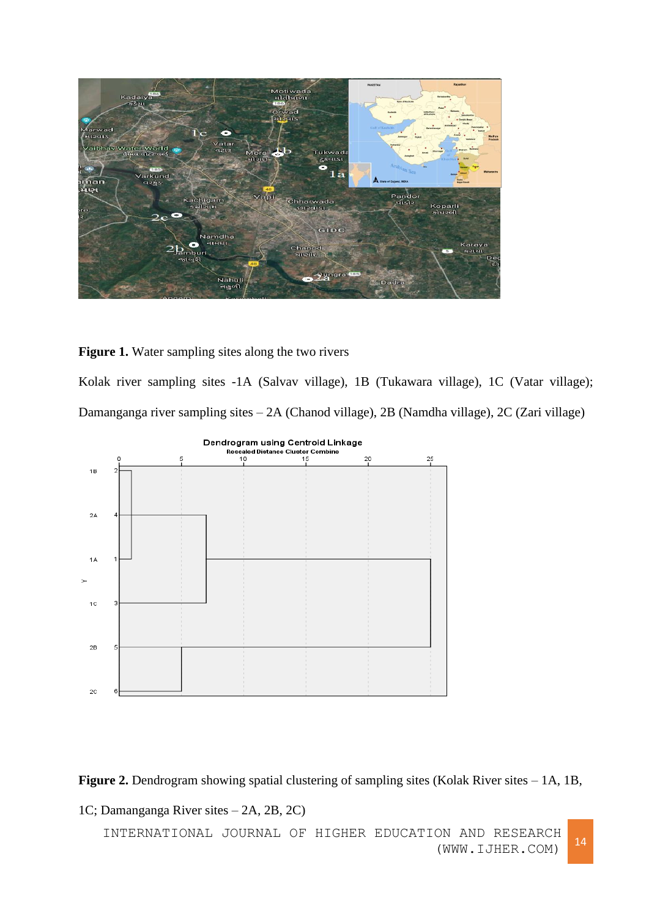

# **Figure 1.** Water sampling sites along the two rivers

Kolak river sampling sites -1A (Salvav village), 1B (Tukawara village), 1C (Vatar village); Damanganga river sampling sites – 2A (Chanod village), 2B (Namdha village), 2C (Zari village)



**Figure 2.** Dendrogram showing spatial clustering of sampling sites (Kolak River sites – 1A, 1B,

1C; Damanganga River sites – 2A, 2B, 2C)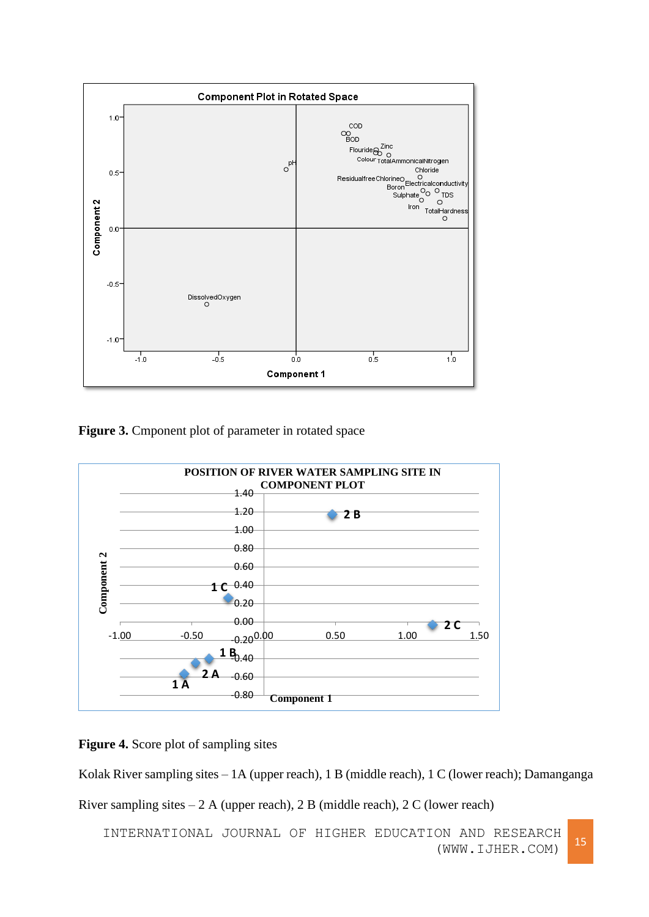

Figure 3. Cmponent plot of parameter in rotated space



**Figure 4.** Score plot of sampling sites

Kolak River sampling sites – 1A (upper reach), 1 B (middle reach), 1 C (lower reach); Damanganga

River sampling sites  $-2$  A (upper reach), 2 B (middle reach), 2 C (lower reach)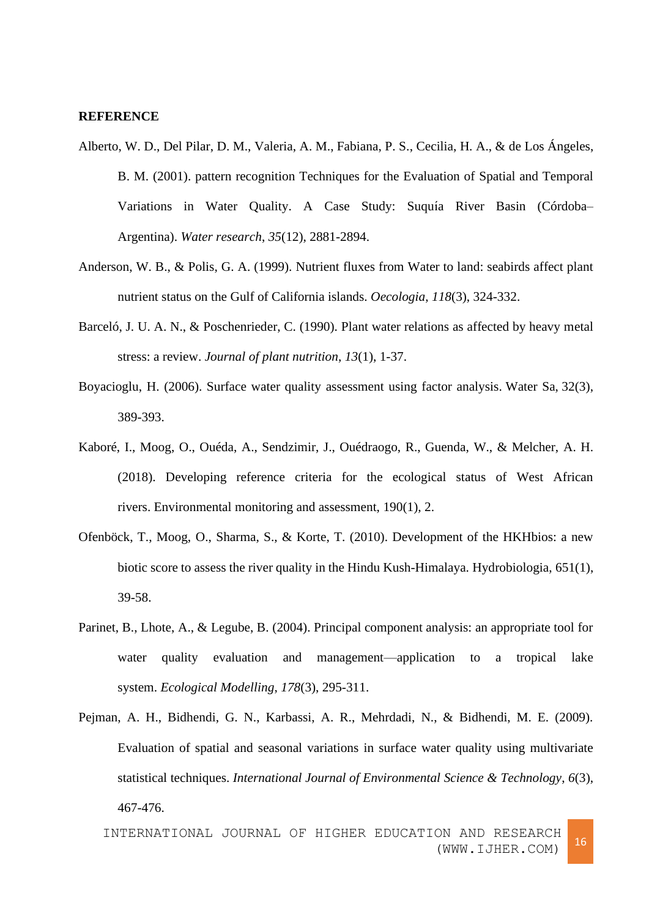#### **REFERENCE**

- Alberto, W. D., Del Pilar, D. M., Valeria, A. M., Fabiana, P. S., Cecilia, H. A., & de Los Ángeles, B. M. (2001). pattern recognition Techniques for the Evaluation of Spatial and Temporal Variations in Water Quality. A Case Study: Suquía River Basin (Córdoba-Argentina). *Water research*, *35*(12), 2881-2894.
- Anderson, W. B., & Polis, G. A. (1999). Nutrient fluxes from Water to land: seabirds affect plant nutrient status on the Gulf of California islands. *Oecologia*, *118*(3), 324-332.
- Barceló, J. U. A. N., & Poschenrieder, C. (1990). Plant water relations as affected by heavy metal stress: a review. *Journal of plant nutrition*, *13*(1), 1-37.
- Boyacioglu, H. (2006). Surface water quality assessment using factor analysis. Water Sa, 32(3), 389-393.
- Kaboré, I., Moog, O., Ouéda, A., Sendzimir, J., Ouédraogo, R., Guenda, W., & Melcher, A. H. (2018). Developing reference criteria for the ecological status of West African rivers. Environmental monitoring and assessment, 190(1), 2.
- Ofenböck, T., Moog, O., Sharma, S., & Korte, T. (2010). Development of the HKHbios: a new biotic score to assess the river quality in the Hindu Kush-Himalaya. Hydrobiologia, 651(1), 39-58.
- Parinet, B., Lhote, A., & Legube, B. (2004). Principal component analysis: an appropriate tool for water quality evaluation and management—application to a tropical lake system. *Ecological Modelling*, *178*(3), 295-311.
- Pejman, A. H., Bidhendi, G. N., Karbassi, A. R., Mehrdadi, N., & Bidhendi, M. E. (2009). Evaluation of spatial and seasonal variations in surface water quality using multivariate statistical techniques. *International Journal of Environmental Science & Technology*, *6*(3), 467-476.